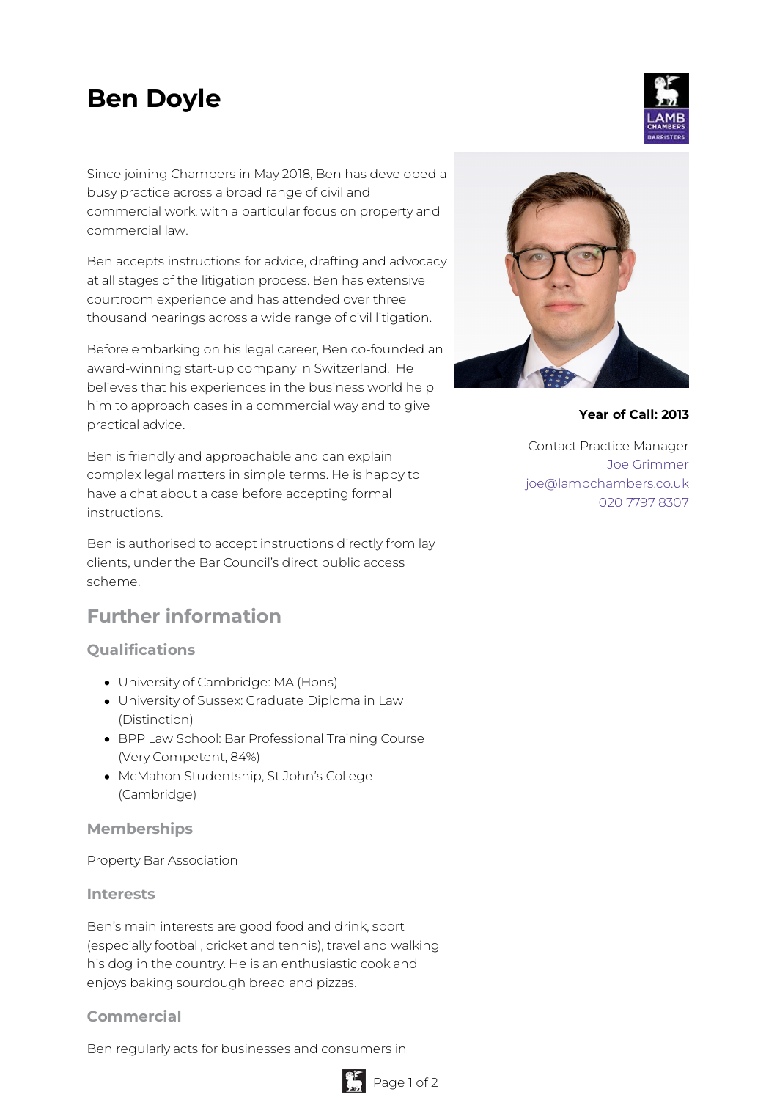# **Ben Doyle**

Since joining Chambers in May 2018, Ben has developed a busy practice across a broad range of civil and commercial work, with a particular focus on property and commercial law.

Ben accepts instructions for advice, drafting and advocacy at all stages of the litigation process. Ben has extensive courtroom experience and has attended over three thousand hearings across a wide range of civil litigation.

Before embarking on his legal career, Ben co-founded an award-winning start-up company in Switzerland. He believes that his experiences in the business world help him to approach cases in a commercial way and to give practical advice.

Ben is friendly and approachable and can explain complex legal matters in simple terms. He is happy to have a chat about a case before accepting formal instructions.

Ben is authorised to accept instructions directly from lay clients, under the Bar Council's direct public access scheme.

## **Further information**

### **Qualifications**

- University of Cambridge: MA (Hons)
- University of Sussex: Graduate Diploma in Law (Distinction)
- BPP Law School: Bar Professional Training Course (Very Competent, 84%)
- McMahon Studentship, St John's College (Cambridge)

#### **Memberships**

Property Bar Association

#### **Interests**

Ben's main interests are good food and drink, sport (especially football, cricket and tennis), travel and walking his dog in the country. He is an enthusiastic cook and enjoys baking sourdough bread and pizzas.

#### **Commercial**

Ben regularly acts for businesses and consumers in



**Year of Call: 2013**

Contact Practice Manager Joe [Grimmer](mailto:joe@lambchambers.co.uk) [joe@lambchambers.co.uk](mailto:joe@lambchambers.co.uk) 020 7797 [8307](tel:020%207797%208307)